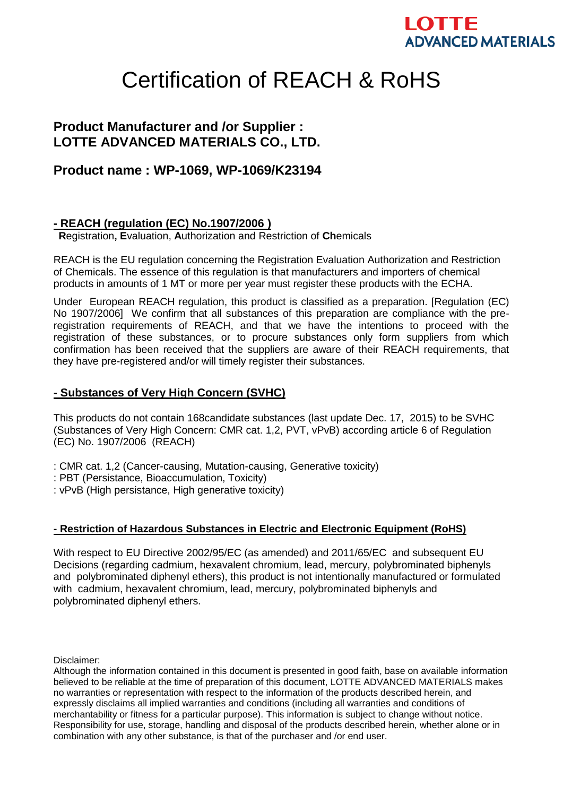# LOTTE **ADVANCED MATERIALS**

# Certification of REACH & RoHS

# **Product Manufacturer and /or Supplier : LOTTE ADVANCED MATERIALS CO., LTD.**

## **Product name : WP-1069, WP-1069/K23194**

#### **- REACH (regulation (EC) No.1907/2006 )**

**R**egistration**, E**valuation, **A**uthorization and Restriction of **Ch**emicals

REACH is the EU regulation concerning the Registration Evaluation Authorization and Restriction of Chemicals. The essence of this regulation is that manufacturers and importers of chemical products in amounts of 1 MT or more per year must register these products with the ECHA.

Under European REACH regulation, this product is classified as a preparation. [Regulation (EC) No 1907/2006] We confirm that all substances of this preparation are compliance with the preregistration requirements of REACH, and that we have the intentions to proceed with the registration of these substances, or to procure substances only form suppliers from which confirmation has been received that the suppliers are aware of their REACH requirements, that they have pre-registered and/or will timely register their substances.

### **- Substances of Very High Concern (SVHC)**

This products do not contain 168candidate substances (last update Dec. 17, 2015) to be SVHC (Substances of Very High Concern: CMR cat. 1,2, PVT, vPvB) according article 6 of Regulation (EC) No. 1907/2006 (REACH)

: CMR cat. 1,2 (Cancer-causing, Mutation-causing, Generative toxicity)

: PBT (Persistance, Bioaccumulation, Toxicity)

: vPvB (High persistance, High generative toxicity)

#### **- Restriction of Hazardous Substances in Electric and Electronic Equipment (RoHS)**

With respect to EU Directive 2002/95/EC (as amended) and 2011/65/EC and subsequent EU Decisions (regarding cadmium, hexavalent chromium, lead, mercury, polybrominated biphenyls and polybrominated diphenyl ethers), this product is not intentionally manufactured or formulated with cadmium, hexavalent chromium, lead, mercury, polybrominated biphenyls and polybrominated diphenyl ethers.

Disclaimer:

Although the information contained in this document is presented in good faith, base on available information believed to be reliable at the time of preparation of this document, LOTTE ADVANCED MATERIALS makes no warranties or representation with respect to the information of the products described herein, and expressly disclaims all implied warranties and conditions (including all warranties and conditions of merchantability or fitness for a particular purpose). This information is subject to change without notice. Responsibility for use, storage, handling and disposal of the products described herein, whether alone or in combination with any other substance, is that of the purchaser and /or end user.